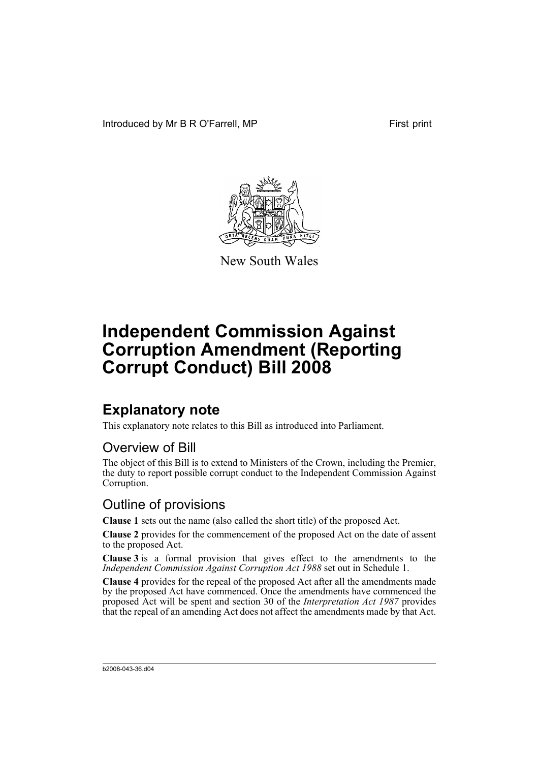Introduced by Mr B R O'Farrell, MP First print



New South Wales

# **Independent Commission Against Corruption Amendment (Reporting Corrupt Conduct) Bill 2008**

## **Explanatory note**

This explanatory note relates to this Bill as introduced into Parliament.

#### Overview of Bill

The object of this Bill is to extend to Ministers of the Crown, including the Premier, the duty to report possible corrupt conduct to the Independent Commission Against Corruption.

### Outline of provisions

**Clause 1** sets out the name (also called the short title) of the proposed Act.

**Clause 2** provides for the commencement of the proposed Act on the date of assent to the proposed Act.

**Clause 3** is a formal provision that gives effect to the amendments to the *Independent Commission Against Corruption Act 1988* set out in Schedule 1.

**Clause 4** provides for the repeal of the proposed Act after all the amendments made by the proposed Act have commenced. Once the amendments have commenced the proposed Act will be spent and section 30 of the *Interpretation Act 1987* provides that the repeal of an amending Act does not affect the amendments made by that Act.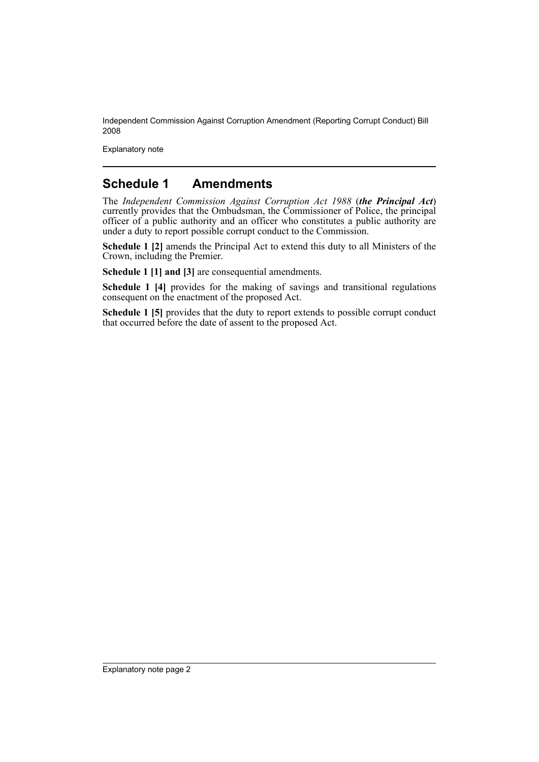Independent Commission Against Corruption Amendment (Reporting Corrupt Conduct) Bill 2008

Explanatory note

#### **Schedule 1 Amendments**

The *Independent Commission Against Corruption Act 1988* (*the Principal Act*) currently provides that the Ombudsman, the Commissioner of Police, the principal officer of a public authority and an officer who constitutes a public authority are under a duty to report possible corrupt conduct to the Commission.

**Schedule 1 [2]** amends the Principal Act to extend this duty to all Ministers of the Crown, including the Premier.

**Schedule 1 [1] and [3]** are consequential amendments.

**Schedule 1 [4]** provides for the making of savings and transitional regulations consequent on the enactment of the proposed Act.

**Schedule 1 [5]** provides that the duty to report extends to possible corrupt conduct that occurred before the date of assent to the proposed Act.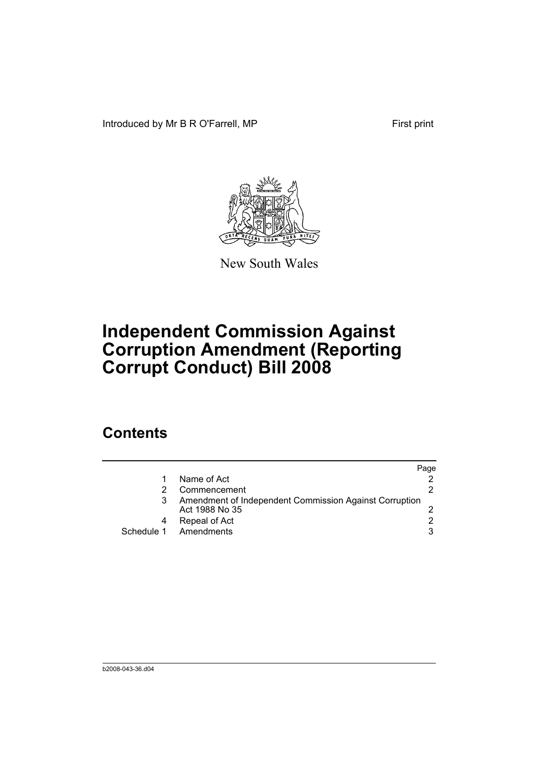Introduced by Mr B R O'Farrell, MP First print



New South Wales

## **Independent Commission Against Corruption Amendment (Reporting Corrupt Conduct) Bill 2008**

## **Contents**

|            |                                                                          | Page |
|------------|--------------------------------------------------------------------------|------|
|            | Name of Act                                                              |      |
|            | Commencement                                                             |      |
|            | Amendment of Independent Commission Against Corruption<br>Act 1988 No 35 |      |
|            | Repeal of Act                                                            |      |
| Schedule 1 | Amendments                                                               | 3    |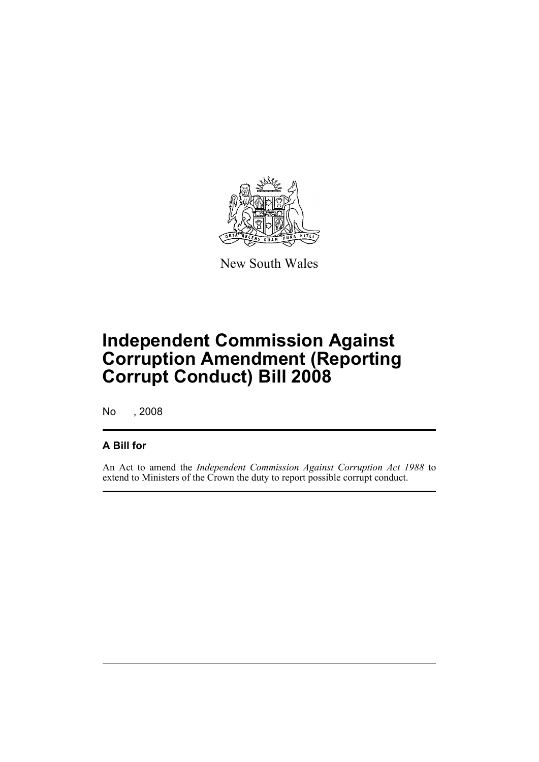

New South Wales

## **Independent Commission Against Corruption Amendment (Reporting Corrupt Conduct) Bill 2008**

No , 2008

#### **A Bill for**

An Act to amend the *Independent Commission Against Corruption Act 1988* to extend to Ministers of the Crown the duty to report possible corrupt conduct.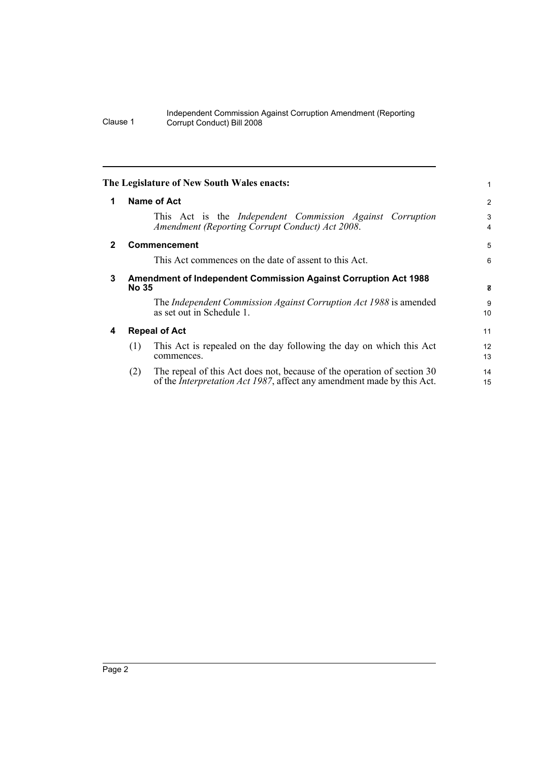#### Independent Commission Against Corruption Amendment (Reporting Clause 1 Corrupt Conduct) Bill 2008

<span id="page-5-3"></span><span id="page-5-2"></span><span id="page-5-1"></span><span id="page-5-0"></span>

|              |                                                                                        | The Legislature of New South Wales enacts:                                                                                                                |                |
|--------------|----------------------------------------------------------------------------------------|-----------------------------------------------------------------------------------------------------------------------------------------------------------|----------------|
| 1            |                                                                                        | Name of Act                                                                                                                                               | $\overline{c}$ |
|              |                                                                                        | This Act is the <i>Independent</i> Commission <i>Against</i> Corruption<br>Amendment (Reporting Corrupt Conduct) Act 2008.                                | 3<br>4         |
| $\mathbf{2}$ |                                                                                        | <b>Commencement</b>                                                                                                                                       | 5              |
|              |                                                                                        | This Act commences on the date of assent to this Act.                                                                                                     | 6              |
| 3            | <b>Amendment of Independent Commission Against Corruption Act 1988</b><br><b>No 35</b> |                                                                                                                                                           |                |
|              |                                                                                        | The Independent Commission Against Corruption Act 1988 is amended<br>as set out in Schedule 1.                                                            | 9<br>10        |
| 4            | <b>Repeal of Act</b>                                                                   |                                                                                                                                                           | 11             |
|              | (1)                                                                                    | This Act is repealed on the day following the day on which this Act<br>commences.                                                                         | 12<br>13       |
|              | (2)                                                                                    | The repeal of this Act does not, because of the operation of section 30<br>of the <i>Interpretation Act 1987</i> , affect any amendment made by this Act. | 14<br>15       |
|              |                                                                                        |                                                                                                                                                           |                |